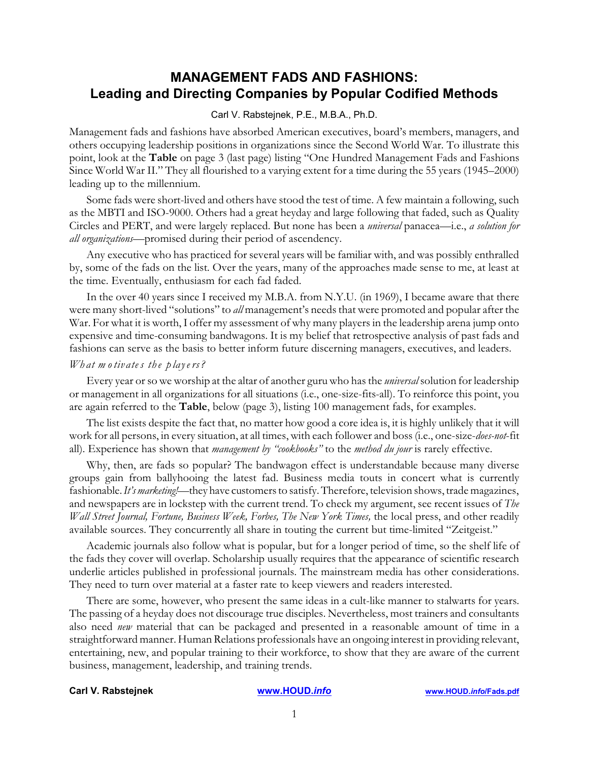# **MANAGEMENT FADS AND FASHIONS: Leading and Directing Companies by Popular Codified Methods**

### Carl V. Rabstejnek, P.E., M.B.A., Ph.D.

Management fads and fashions have absorbed American executives, board's members, managers, and others occupying leadership positions in organizations since the Second World War. To illustrate this point, look at the **Table** on page 3 (last page) listing "One Hundred Management Fads and Fashions Since World War II." They all flourished to a varying extent for a time during the 55 years (1945–2000) leading up to the millennium.

Some fads were short-lived and others have stood the test of time. A few maintain a following, such as the MBTI and ISO-9000. Others had a great heyday and large following that faded, such as Quality Circles and PERT, and were largely replaced. But none has been a *universal* panacea—i.e., *a solution for all organizations*—promised during their period of ascendency.

Any executive who has practiced for several years will be familiar with, and was possibly enthralled by, some of the fads on the list. Over the years, many of the approaches made sense to me, at least at the time. Eventually, enthusiasm for each fad faded.

In the over 40 years since I received my M.B.A. from N.Y.U. (in 1969), I became aware that there were many short-lived "solutions" to *all* management's needs that were promoted and popular after the War. For what it is worth, I offer my assessment of why many players in the leadership arena jump onto expensive and time-consuming bandwagons. It is my belief that retrospective analysis of past fads and fashions can serve as the basis to better inform future discerning managers, executives, and leaders.

## *Wh at m otiv ate s th e p laye rs?*

Every year or so we worship at the altar of another guru who has the *universal* solution for leadership or management in all organizations for all situations (i.e., one-size-fits-all). To reinforce this point, you are again referred to the **Table**, below (page 3), listing 100 management fads, for examples.

The list exists despite the fact that, no matter how good a core idea is, it is highly unlikely that it will work for all persons, in every situation, at all times, with each follower and boss(i.e., one-size-*does-not*-fit all). Experience has shown that *management by "cookbooks"* to the *method du jour* is rarely effective.

Why, then, are fads so popular? The bandwagon effect is understandable because many diverse groups gain from ballyhooing the latest fad. Business media touts in concert what is currently fashionable. *It's marketing!*—they have customers to satisfy. Therefore, television shows, trade magazines, and newspapers are in lockstep with the current trend. To check my argument, see recent issues of *The Wall Street Journal, Fortune, Business Week, Forbes, The New York Times, the local press, and other readily* available sources. They concurrently all share in touting the current but time-limited "Zeitgeist."

Academic journals also follow what is popular, but for a longer period of time, so the shelf life of the fads they cover will overlap. Scholarship usually requires that the appearance of scientific research underlie articles published in professional journals. The mainstream media has other considerations. They need to turn over material at a faster rate to keep viewers and readers interested.

There are some, however, who present the same ideas in a cult-like manner to stalwarts for years. The passing of a heyday does not discourage true disciples. Nevertheless, most trainers and consultants also need *new* material that can be packaged and presented in a reasonable amount of time in a straightforward manner. Human Relations professionals have an ongoing interest in providing relevant, entertaining, new, and popular training to their workforce, to show that they are aware of the current business, management, leadership, and training trends.

### **Carl V. Rabstejnek [www.HOUD.](http://www.HOUD.info)***info* **[www.HOUD.](http://www.HOUD.info/Fads.pdf)***info***/Fads.pdf**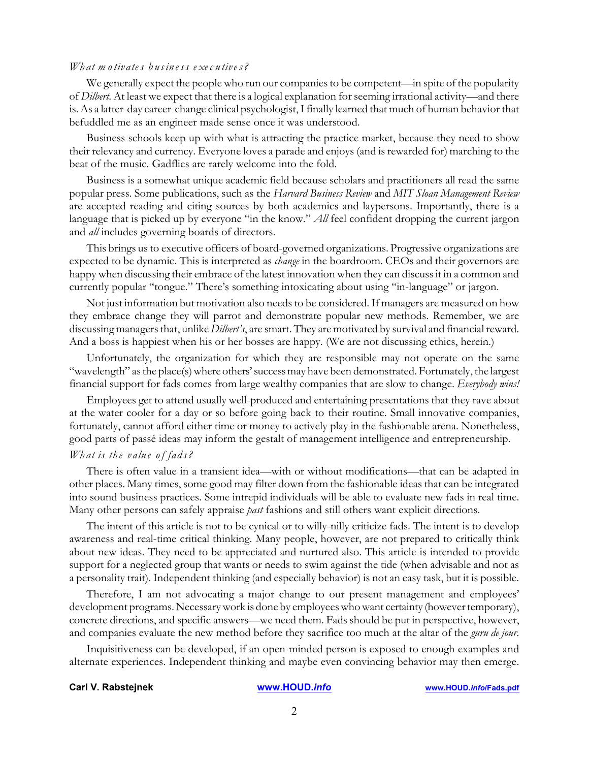### *Wh at m otiv ate s b u sin e ss e xe c u tive s?*

We generally expect the people who run our companies to be competent—in spite of the popularity of *Dilbert*. At least we expect that there is a logical explanation for seeming irrational activity—and there is. As a latter-day career-change clinical psychologist, I finally learned that much of human behavior that befuddled me as an engineer made sense once it was understood.

Business schools keep up with what is attracting the practice market, because they need to show their relevancy and currency. Everyone loves a parade and enjoys (and is rewarded for) marching to the beat of the music. Gadflies are rarely welcome into the fold.

Business is a somewhat unique academic field because scholars and practitioners all read the same popular press. Some publications, such as the *Harvard Business Review* and *MIT Sloan Management Review* are accepted reading and citing sources by both academics and laypersons. Importantly, there is a language that is picked up by everyone "in the know." *All* feel confident dropping the current jargon and *all* includes governing boards of directors.

This brings us to executive officers of board-governed organizations. Progressive organizations are expected to be dynamic. This is interpreted as *change* in the boardroom. CEOs and their governors are happy when discussing their embrace of the latest innovation when they can discussit in a common and currently popular "tongue." There's something intoxicating about using "in-language" or jargon.

Not just information but motivation also needs to be considered. If managers are measured on how they embrace change they will parrot and demonstrate popular new methods. Remember, we are discussing managers that, unlike *Dilbert's*, are smart. They are motivated by survival and financial reward. And a boss is happiest when his or her bosses are happy. (We are not discussing ethics, herein.)

Unfortunately, the organization for which they are responsible may not operate on the same "wavelength" as the place(s) where others' success may have been demonstrated. Fortunately, the largest financial support for fads comes from large wealthy companies that are slow to change. *Everybody wins!*

Employees get to attend usually well-produced and entertaining presentations that they rave about at the water cooler for a day or so before going back to their routine. Small innovative companies, fortunately, cannot afford either time or money to actively play in the fashionable arena. Nonetheless, good parts of passé ideas may inform the gestalt of management intelligence and entrepreneurship. *Wh at is th e v alu e of fad s?*

There is often value in a transient idea—with or without modifications—that can be adapted in other places. Many times, some good may filter down from the fashionable ideas that can be integrated into sound business practices. Some intrepid individuals will be able to evaluate new fads in real time. Many other persons can safely appraise *past* fashions and still others want explicit directions.

The intent of this article is not to be cynical or to willy-nilly criticize fads. The intent is to develop awareness and real-time critical thinking. Many people, however, are not prepared to critically think about new ideas. They need to be appreciated and nurtured also. This article is intended to provide support for a neglected group that wants or needs to swim against the tide (when advisable and not as a personality trait). Independent thinking (and especially behavior) is not an easy task, but it is possible.

Therefore, I am not advocating a major change to our present management and employees' development programs. Necessary work is done by employees who want certainty (however temporary), concrete directions, and specific answers—we need them. Fads should be put in perspective, however, and companies evaluate the new method before they sacrifice too much at the altar of the *guru de jour*.

Inquisitiveness can be developed, if an open-minded person is exposed to enough examples and alternate experiences. Independent thinking and maybe even convincing behavior may then emerge.